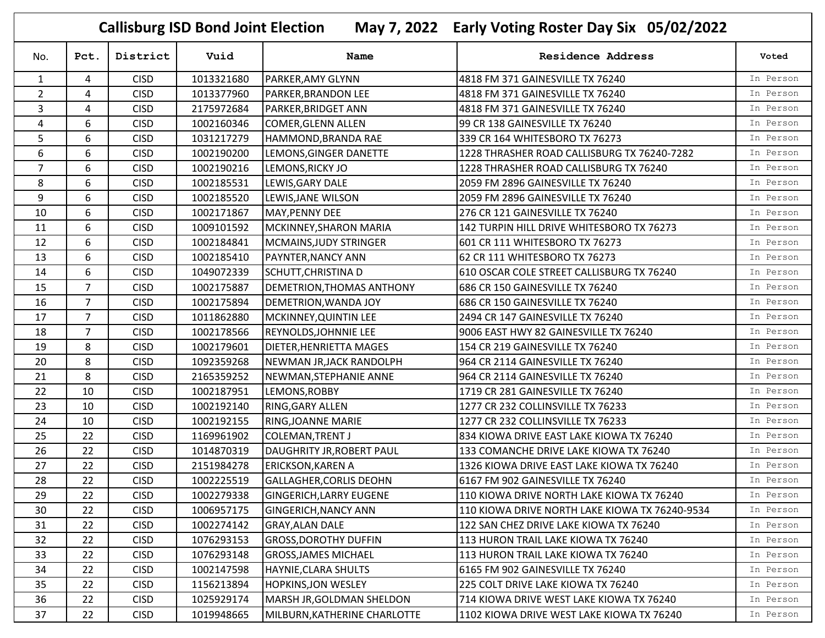| May 7, 2022 Early Voting Roster Day Six 05/02/2022<br><b>Callisburg ISD Bond Joint Election</b> |                |             |            |                                |                                                |           |  |  |  |
|-------------------------------------------------------------------------------------------------|----------------|-------------|------------|--------------------------------|------------------------------------------------|-----------|--|--|--|
| No.                                                                                             | Pct.           | District    | Vuid       | Name                           | <b>Residence Address</b>                       | Voted     |  |  |  |
| $\mathbf{1}$                                                                                    | 4              | <b>CISD</b> | 1013321680 | PARKER, AMY GLYNN              | 4818 FM 371 GAINESVILLE TX 76240               | In Person |  |  |  |
| $\overline{2}$                                                                                  | 4              | <b>CISD</b> | 1013377960 | PARKER, BRANDON LEE            | 4818 FM 371 GAINESVILLE TX 76240               | In Person |  |  |  |
| 3                                                                                               | 4              | <b>CISD</b> | 2175972684 | PARKER, BRIDGET ANN            | 4818 FM 371 GAINESVILLE TX 76240               | In Person |  |  |  |
| 4                                                                                               | 6              | <b>CISD</b> | 1002160346 | COMER, GLENN ALLEN             | 99 CR 138 GAINESVILLE TX 76240                 | In Person |  |  |  |
| 5                                                                                               | 6              | <b>CISD</b> | 1031217279 | HAMMOND, BRANDA RAE            | 339 CR 164 WHITESBORO TX 76273                 | In Person |  |  |  |
| 6                                                                                               | 6              | <b>CISD</b> | 1002190200 | LEMONS, GINGER DANETTE         | 1228 THRASHER ROAD CALLISBURG TX 76240-7282    | In Person |  |  |  |
| 7                                                                                               | 6              | <b>CISD</b> | 1002190216 | LEMONS, RICKY JO               | 1228 THRASHER ROAD CALLISBURG TX 76240         | In Person |  |  |  |
| 8                                                                                               | 6              | <b>CISD</b> | 1002185531 | LEWIS, GARY DALE               | 2059 FM 2896 GAINESVILLE TX 76240              | In Person |  |  |  |
| 9                                                                                               | 6              | <b>CISD</b> | 1002185520 | LEWIS, JANE WILSON             | 2059 FM 2896 GAINESVILLE TX 76240              | In Person |  |  |  |
| 10                                                                                              | 6              | <b>CISD</b> | 1002171867 | MAY, PENNY DEE                 | 276 CR 121 GAINESVILLE TX 76240                | In Person |  |  |  |
| 11                                                                                              | 6              | <b>CISD</b> | 1009101592 | MCKINNEY, SHARON MARIA         | 142 TURPIN HILL DRIVE WHITESBORO TX 76273      | In Person |  |  |  |
| 12                                                                                              | 6              | <b>CISD</b> | 1002184841 | MCMAINS, JUDY STRINGER         | 601 CR 111 WHITESBORO TX 76273                 | In Person |  |  |  |
| 13                                                                                              | 6              | <b>CISD</b> | 1002185410 | <b>PAYNTER, NANCY ANN</b>      | 62 CR 111 WHITESBORO TX 76273                  | In Person |  |  |  |
| 14                                                                                              | 6              | <b>CISD</b> | 1049072339 | SCHUTT, CHRISTINA D            | 610 OSCAR COLE STREET CALLISBURG TX 76240      | In Person |  |  |  |
| 15                                                                                              | $\overline{7}$ | <b>CISD</b> | 1002175887 | DEMETRION, THOMAS ANTHONY      | 686 CR 150 GAINESVILLE TX 76240                | In Person |  |  |  |
| 16                                                                                              | $\overline{7}$ | <b>CISD</b> | 1002175894 | DEMETRION, WANDA JOY           | 686 CR 150 GAINESVILLE TX 76240                | In Person |  |  |  |
| 17                                                                                              | $\overline{7}$ | <b>CISD</b> | 1011862880 | MCKINNEY, QUINTIN LEE          | 2494 CR 147 GAINESVILLE TX 76240               | In Person |  |  |  |
| 18                                                                                              | $\overline{7}$ | <b>CISD</b> | 1002178566 | <b>REYNOLDS, JOHNNIE LEE</b>   | 9006 EAST HWY 82 GAINESVILLE TX 76240          | In Person |  |  |  |
| 19                                                                                              | 8              | <b>CISD</b> | 1002179601 | <b>DIETER, HENRIETTA MAGES</b> | 154 CR 219 GAINESVILLE TX 76240                | In Person |  |  |  |
| 20                                                                                              | 8              | <b>CISD</b> | 1092359268 | NEWMAN JR, JACK RANDOLPH       | 964 CR 2114 GAINESVILLE TX 76240               | In Person |  |  |  |
| 21                                                                                              | 8              | <b>CISD</b> | 2165359252 | NEWMAN, STEPHANIE ANNE         | 964 CR 2114 GAINESVILLE TX 76240               | In Person |  |  |  |
| 22                                                                                              | 10             | <b>CISD</b> | 1002187951 | LEMONS, ROBBY                  | 1719 CR 281 GAINESVILLE TX 76240               | In Person |  |  |  |
| 23                                                                                              | 10             | <b>CISD</b> | 1002192140 | <b>RING, GARY ALLEN</b>        | 1277 CR 232 COLLINSVILLE TX 76233              | In Person |  |  |  |
| 24                                                                                              | 10             | <b>CISD</b> | 1002192155 | RING, JOANNE MARIE             | 1277 CR 232 COLLINSVILLE TX 76233              | In Person |  |  |  |
| 25                                                                                              | 22             | <b>CISD</b> | 1169961902 | <b>COLEMAN, TRENT J</b>        | 834 KIOWA DRIVE EAST LAKE KIOWA TX 76240       | In Person |  |  |  |
| 26                                                                                              | 22             | <b>CISD</b> | 1014870319 | DAUGHRITY JR, ROBERT PAUL      | 133 COMANCHE DRIVE LAKE KIOWA TX 76240         | In Person |  |  |  |
| 27                                                                                              | 22             | <b>CISD</b> | 2151984278 | <b>ERICKSON, KAREN A</b>       | 1326 KIOWA DRIVE EAST LAKE KIOWA TX 76240      | In Person |  |  |  |
| 28                                                                                              | 22             | <b>CISD</b> | 1002225519 | GALLAGHER, CORLIS DEOHN        | 6167 FM 902 GAINESVILLE TX 76240               | In Person |  |  |  |
| 29                                                                                              | 22             | <b>CISD</b> | 1002279338 | <b>GINGERICH, LARRY EUGENE</b> | 110 KIOWA DRIVE NORTH LAKE KIOWA TX 76240      | In Person |  |  |  |
| 30                                                                                              | 22             | <b>CISD</b> | 1006957175 | <b>GINGERICH, NANCY ANN</b>    | 110 KIOWA DRIVE NORTH LAKE KIOWA TX 76240-9534 | In Person |  |  |  |
| 31                                                                                              | 22             | <b>CISD</b> | 1002274142 | <b>GRAY, ALAN DALE</b>         | 122 SAN CHEZ DRIVE LAKE KIOWA TX 76240         | In Person |  |  |  |
| 32                                                                                              | 22             | <b>CISD</b> | 1076293153 | <b>GROSS, DOROTHY DUFFIN</b>   | 113 HURON TRAIL LAKE KIOWA TX 76240            | In Person |  |  |  |
| 33                                                                                              | 22             | <b>CISD</b> | 1076293148 | <b>GROSS, JAMES MICHAEL</b>    | 113 HURON TRAIL LAKE KIOWA TX 76240            | In Person |  |  |  |
| 34                                                                                              | 22             | <b>CISD</b> | 1002147598 | HAYNIE, CLARA SHULTS           | 6165 FM 902 GAINESVILLE TX 76240               | In Person |  |  |  |
| 35                                                                                              | 22             | <b>CISD</b> | 1156213894 | <b>HOPKINS, JON WESLEY</b>     | 225 COLT DRIVE LAKE KIOWA TX 76240             | In Person |  |  |  |
| 36                                                                                              | 22             | <b>CISD</b> | 1025929174 | MARSH JR, GOLDMAN SHELDON      | 714 KIOWA DRIVE WEST LAKE KIOWA TX 76240       | In Person |  |  |  |
| 37                                                                                              | 22             | <b>CISD</b> | 1019948665 | MILBURN, KATHERINE CHARLOTTE   | 1102 KIOWA DRIVE WEST LAKE KIOWA TX 76240      | In Person |  |  |  |